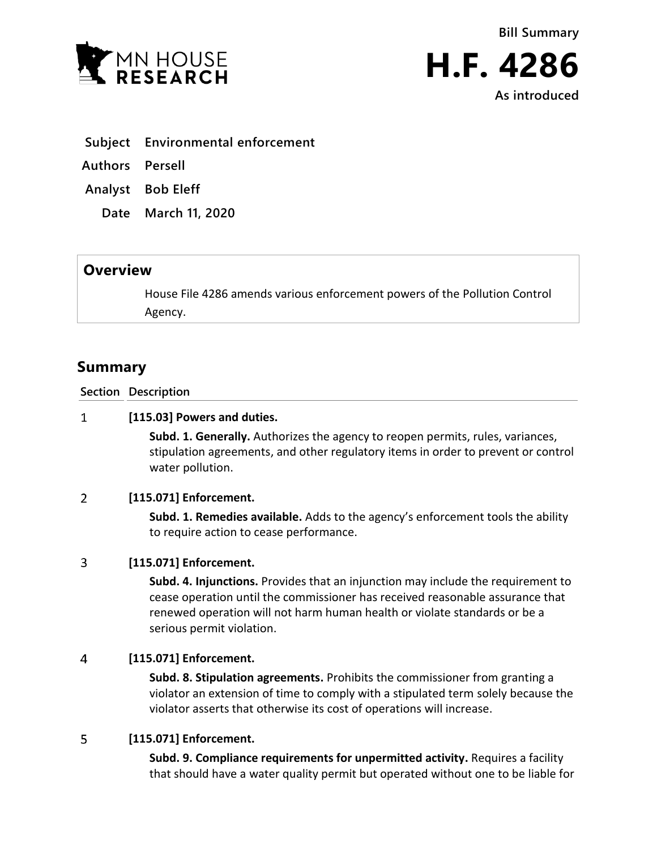



**As introduced**

- **Subject Environmental enforcement**
- **Authors Persell**
- **Analyst Bob Eleff**
	- **Date March 11, 2020**

## **Overview**

House File 4286 amends various enforcement powers of the Pollution Control Agency.

# **Summary**

**Section Description**

#### $\mathbf{1}$ **[115.03] Powers and duties.**

**Subd. 1. Generally.** Authorizes the agency to reopen permits, rules, variances, stipulation agreements, and other regulatory items in order to prevent or control water pollution.

#### $\overline{2}$ **[115.071] Enforcement.**

**Subd. 1. Remedies available.** Adds to the agency's enforcement tools the ability to require action to cease performance.

#### $\overline{3}$ **[115.071] Enforcement.**

**Subd. 4. Injunctions.** Provides that an injunction may include the requirement to cease operation until the commissioner has received reasonable assurance that renewed operation will not harm human health or violate standards or be a serious permit violation.

#### $\overline{4}$ **[115.071] Enforcement.**

**Subd. 8. Stipulation agreements.** Prohibits the commissioner from granting a violator an extension of time to comply with a stipulated term solely because the violator asserts that otherwise its cost of operations will increase.

#### 5 **[115.071] Enforcement.**

**Subd. 9. Compliance requirements for unpermitted activity.** Requires a facility that should have a water quality permit but operated without one to be liable for